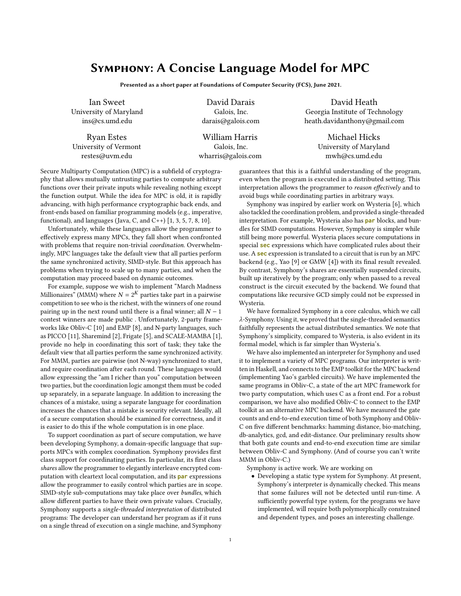## Symphony: A Concise Language Model for MPC

Presented as a short paper at Foundations of Computer Security (FCS), June 2021.

Ian Sweet University of Maryland ins@cs.umd.edu

Ryan Estes University of Vermont restes@uvm.edu

David Darais Galois, Inc. darais@galois.com

William Harris Galois, Inc. wharris@galois.com

David Heath Georgia Institute of Technology heath.davidanthony@gmail.com

> Michael Hicks University of Maryland mwh@cs.umd.edu

Secure Multiparty Computation (MPC) is a subfield of cryptography that allows mutually untrusting parties to compute arbitrary functions over their private inputs while revealing nothing except the function output. While the idea for MPC is old, it is rapidly advancing, with high performance cryptographic back ends, and front-ends based on familiar programming models (e.g., imperative, functional), and languages (Java, C, and C++)  $[1, 3, 5, 7, 8, 10]$  $[1, 3, 5, 7, 8, 10]$  $[1, 3, 5, 7, 8, 10]$  $[1, 3, 5, 7, 8, 10]$  $[1, 3, 5, 7, 8, 10]$  $[1, 3, 5, 7, 8, 10]$ .

Unfortunately, while these languages allow the programmer to effectively express many MPCs, they fall short when confronted with problems that require non-trivial coordination. Overwhelmingly, MPC languages take the default view that all parties perform the same synchronized activity, SIMD-style. But this approach has problems when trying to scale up to many parties, and when the computation may proceed based on dynamic outcomes.

For example, suppose we wish to implement "March Madness Millionaires" (MMM) where  $N = 2^K$  parties take part in a pairwise competition to see who is the richest, with the winners of one round pairing up in the next round until there is a final winner; all  $N - 1$ contest winners are made public . Unfortunately, 2-party frameworks like Obliv-C [\[10\]](#page-1-5) and EMP [\[8\]](#page-1-4), and N-party languages, such as PICCO [\[11\]](#page-1-6), Sharemind [\[2\]](#page-1-7), Frigate [\[5\]](#page-1-2), and SCALE-MAMBA [\[1\]](#page-1-0), provide no help in coordinating this sort of task; they take the default view that all parties perform the same synchronized activity. For MMM, parties are pairwise (not N-way) synchronized to start, and require coordination after each round. These languages would allow expressing the "am I richer than you" computation between two parties, but the coordination logic amongst them must be coded up separately, in a separate language. In addition to increasing the chances of a mistake, using a separate language for coordination increases the chances that a mistake is security relevant. Ideally, all of a secure computation should be examined for correctness, and it is easier to do this if the whole computation is in one place.

To support coordination as part of secure computation, we have been developing Symphony, a domain-specific language that supports MPCs with complex coordination. Symphony provides first class support for coordinating parties. In particular, its first class shares allow the programmer to elegantly interleave encrypted computation with cleartext local computation, and its **par** expressions allow the programmer to easily control which parties are in scope. SIMD-style sub-computations may take place over bundles, which allow different parties to have their own private values. Crucially, Symphony supports a single-threaded interpretation of distributed programs: The developer can understand her program as if it runs on a single thread of execution on a single machine, and Symphony

guarantees that this is a faithful understanding of the program, even when the program is executed in a distributed setting. This interpretation allows the programmer to reason effectively and to avoid bugs while coordinating parties in arbitrary ways.

Symphony was inspired by earlier work on Wysteria [\[6\]](#page-1-8), which also tackled the coordination problem, and provided a single-threaded interpretation. For example, Wysteria also has **par** blocks, and bundles for SIMD computations. However, Symphony is simpler while still being more powerful. Wysteria places secure computations in special **sec** expressions which have complicated rules about their use. A **sec** expression is translated to a circuit that is run by an MPC backend (e.g., Yao [\[9\]](#page-1-9) or GMW [\[4\]](#page-1-10)) with its final result revealed. By contrast, Symphony's shares are essentially suspended circuits, built up iteratively by the program; only when passed to a reveal construct is the circuit executed by the backend. We found that computations like recursive GCD simply could not be expressed in Wysteria.

We have formalized Symphony in a core calculus, which we call -Symphony. Using it, we proved that the single-threaded semantics faithfully represents the actual distributed semantics. We note that Symphony's simplicity, compared to Wysteria, is also evident in its formal model, which is far simpler than Wysteria's.

We have also implemented an interpreter for Symphony and used it to implement a variety of MPC programs. Our interpreter is written in Haskell, and connects to the EMP toolkit for the MPC backend (implementing Yao's garbled circuits). We have implemented the same programs in Obliv-C, a state of the art MPC framework for two party computation, which uses C as a front end. For a robust comparison, we have also modified Obliv-C to connect to the EMP toolkit as an alternative MPC backend. We have measured the gate counts and end-to-end execution time of both Symphony and Obliv-C on five different benchmarks: hamming distance, bio-matching, db-analytics, gcd, and edit-distance. Our preliminary results show that both gate counts and end-to-end execution time are similar between Obliv-C and Symphony. (And of course you can't write MMM in Obliv-C.)

Symphony is active work. We are working on

• Developing a static type system for Symphony. At present, Symphony's interpreter is dynamically checked. This means that some failures will not be detected until run-time. A sufficiently powerful type system, for the programs we have implemented, will require both polymorphically constrained and dependent types, and poses an interesting challenge.